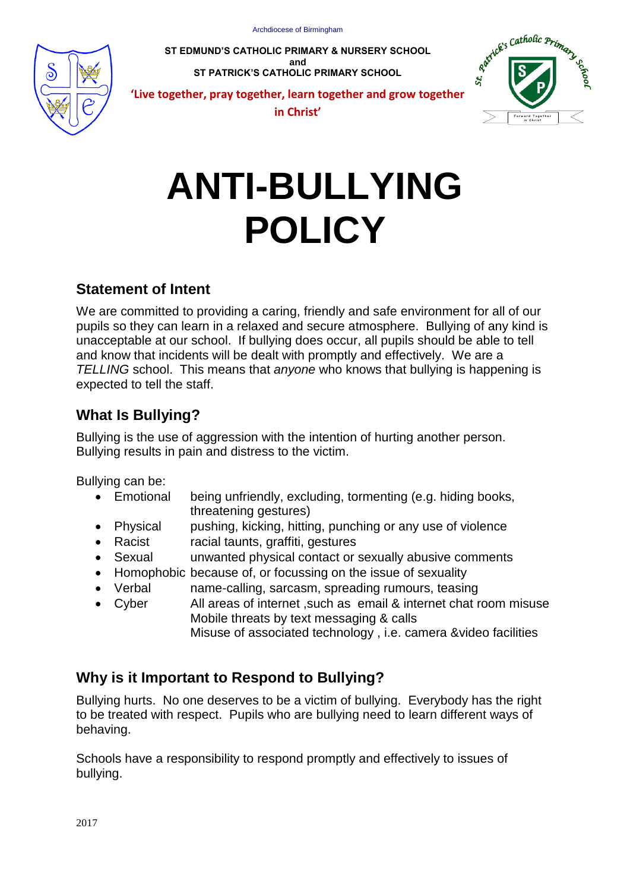

**ST EDMUND'S CATHOLIC PRIMARY & NURSERY SCHOOL and ST PATRICK'S CATHOLIC PRIMARY SCHOOL**



**11 Christ in Christ Case 1998 Expediment Condense 2014 Condense 2014 Condense 2014 Condense 2014 Condense 2014 Condense 2014 Condense 2014 Condense 2014 Condense 2014 Condense 2014 Condense 201** 

# **ANTI-BULLYING POLICY**

### **Statement of Intent**

We are committed to providing a caring, friendly and safe environment for all of our pupils so they can learn in a relaxed and secure atmosphere. Bullying of any kind is unacceptable at our school. If bullying does occur, all pupils should be able to tell and know that incidents will be dealt with promptly and effectively. We are a *TELLING* school. This means that *anyone* who knows that bullying is happening is expected to tell the staff.

# **What Is Bullying?**

Bullying is the use of aggression with the intention of hurting another person. Bullying results in pain and distress to the victim.

Bullying can be:

- Emotional being unfriendly, excluding, tormenting (e.g. hiding books, threatening gestures)
- Physical pushing, kicking, hitting, punching or any use of violence
- Racist racial taunts, graffiti, gestures
- Sexual unwanted physical contact or sexually abusive comments
- Homophobic because of, or focussing on the issue of sexuality
- Verbal name-calling, sarcasm, spreading rumours, teasing
- Cyber All areas of internet ,such as email & internet chat room misuse Mobile threats by text messaging & calls Misuse of associated technology , i.e. camera &video facilities

# **Why is it Important to Respond to Bullying?**

Bullying hurts. No one deserves to be a victim of bullying. Everybody has the right to be treated with respect. Pupils who are bullying need to learn different ways of behaving.

Schools have a responsibility to respond promptly and effectively to issues of bullying.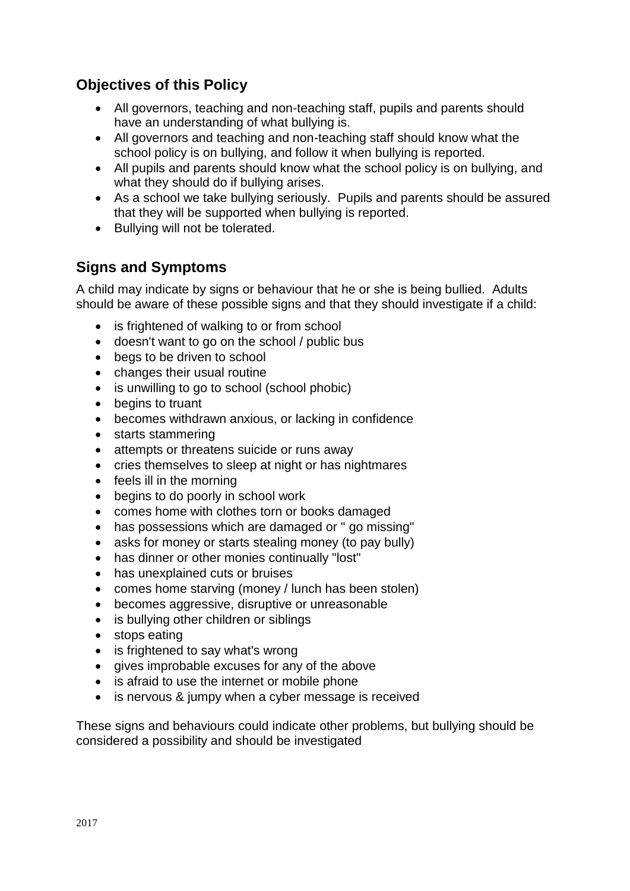#### **Objectives of this Policy**

- All governors, teaching and non-teaching staff, pupils and parents should have an understanding of what bullying is.
- All governors and teaching and non-teaching staff should know what the school policy is on bullying, and follow it when bullying is reported.
- All pupils and parents should know what the school policy is on bullying, and what they should do if bullying arises.
- As a school we take bullying seriously. Pupils and parents should be assured that they will be supported when bullying is reported.
- Bullying will not be tolerated.

#### **Signs and Symptoms**

A child may indicate by signs or behaviour that he or she is being bullied. Adults should be aware of these possible signs and that they should investigate if a child:

- is frightened of walking to or from school
- doesn't want to go on the school / public bus
- begs to be driven to school
- changes their usual routine
- is unwilling to go to school (school phobic)
- begins to truant
- becomes withdrawn anxious, or lacking in confidence
- starts stammering
- attempts or threatens suicide or runs away
- cries themselves to sleep at night or has nightmares
- $\bullet$  feels ill in the morning
- begins to do poorly in school work
- comes home with clothes torn or books damaged
- has possessions which are damaged or " go missing"
- asks for money or starts stealing money (to pay bully)
- has dinner or other monies continually "lost"
- has unexplained cuts or bruises
- comes home starving (money / lunch has been stolen)
- becomes aggressive, disruptive or unreasonable
- is bullying other children or siblings
- stops eating
- is frightened to say what's wrong
- gives improbable excuses for any of the above
- is afraid to use the internet or mobile phone
- is nervous & jumpy when a cyber message is received

These signs and behaviours could indicate other problems, but bullying should be considered a possibility and should be investigated